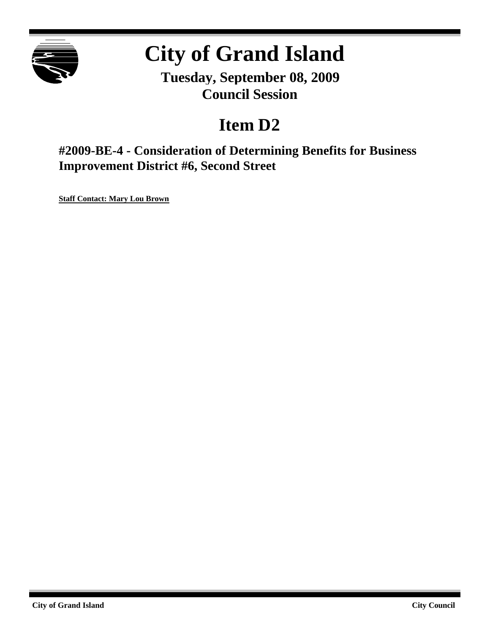

# **City of Grand Island**

**Tuesday, September 08, 2009 Council Session**

## **Item D2**

**#2009-BE-4 - Consideration of Determining Benefits for Business Improvement District #6, Second Street**

**Staff Contact: Mary Lou Brown**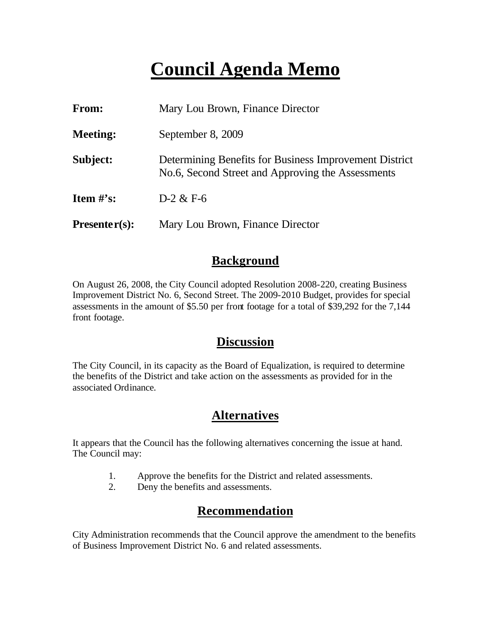## **Council Agenda Memo**

| From:           | Mary Lou Brown, Finance Director                                                                            |
|-----------------|-------------------------------------------------------------------------------------------------------------|
| <b>Meeting:</b> | September 8, 2009                                                                                           |
| Subject:        | Determining Benefits for Business Improvement District<br>No.6, Second Street and Approving the Assessments |
| Item $\#$ 's:   | $D-2 & E-6$                                                                                                 |
| $Presenter(s):$ | Mary Lou Brown, Finance Director                                                                            |

### **Background**

On August 26, 2008, the City Council adopted Resolution 2008-220, creating Business Improvement District No. 6, Second Street. The 2009-2010 Budget, provides for special assessments in the amount of \$5.50 per front footage for a total of \$39,292 for the 7,144 front footage.

### **Discussion**

The City Council, in its capacity as the Board of Equalization, is required to determine the benefits of the District and take action on the assessments as provided for in the associated Ordinance.

## **Alternatives**

It appears that the Council has the following alternatives concerning the issue at hand. The Council may:

- 1. Approve the benefits for the District and related assessments.
- 2. Deny the benefits and assessments.

## **Recommendation**

City Administration recommends that the Council approve the amendment to the benefits of Business Improvement District No. 6 and related assessments.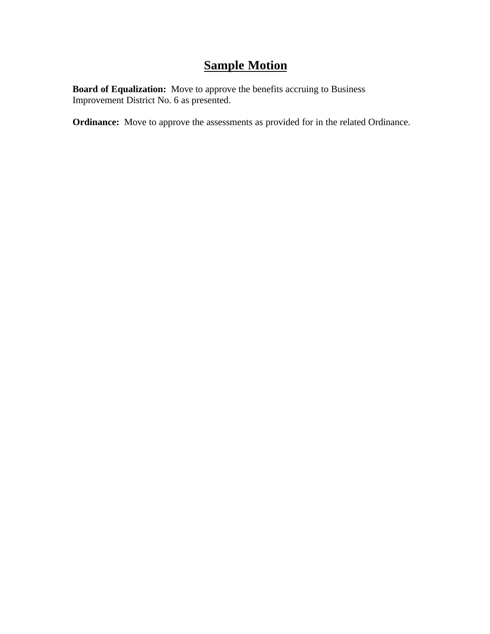## **Sample Motion**

**Board of Equalization:** Move to approve the benefits accruing to Business Improvement District No. 6 as presented.

**Ordinance:** Move to approve the assessments as provided for in the related Ordinance.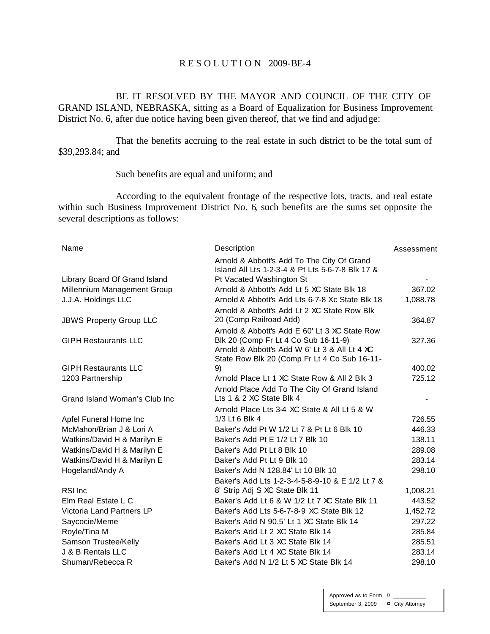#### R E S O L U T I O N 2009-BE-4

BE IT RESOLVED BY THE MAYOR AND COUNCIL OF THE CITY OF GRAND ISLAND, NEBRASKA, sitting as a Board of Equalization for Business Improvement District No. 6, after due notice having been given thereof, that we find and adjudge:

That the benefits accruing to the real estate in such district to be the total sum of \$39,293.84; and

#### Such benefits are equal and uniform; and

According to the equivalent frontage of the respective lots, tracts, and real estate within such Business Improvement District No. 6, such benefits are the sums set opposite the several descriptions as follows:

| Name                           | Description                                                                                    | Assessment |
|--------------------------------|------------------------------------------------------------------------------------------------|------------|
|                                | Arnold & Abbott's Add To The City Of Grand<br>Island All Lts 1-2-3-4 & Pt Lts 5-6-7-8 Blk 17 & |            |
| Library Board Of Grand Island  | Pt Vacated Washington St                                                                       |            |
| Millennium Management Group    | Arnold & Abbott's Add Lt 5 XC State Blk 18                                                     | 367.02     |
| J.J.A. Holdings LLC            | Arnold & Abbott's Add Lts 6-7-8 Xc State Blk 18                                                | 1,088.78   |
|                                | Arnold & Abbott's Add Lt 2 XC State Row Blk                                                    |            |
| <b>JBWS Property Group LLC</b> | 20 (Comp Railroad Add)                                                                         | 364.87     |
|                                | Arnold & Abbott's Add E 60' Lt 3 XC State Row                                                  |            |
| <b>GIPH Restaurants LLC</b>    | Blk 20 (Comp Fr Lt 4 Co Sub 16-11-9)                                                           | 327.36     |
|                                | Arnold & Abbott's Add W 6' Lt 3 & All Lt 4 XC                                                  |            |
| <b>GIPH Restaurants LLC</b>    | State Row Blk 20 (Comp Fr Lt 4 Co Sub 16-11-<br>9)                                             | 400.02     |
| 1203 Partnership               | Arnold Place Lt 1 XC State Row & All 2 Blk 3                                                   | 725.12     |
|                                | Arnold Place Add To The City Of Grand Island                                                   |            |
| Grand Island Woman's Club Inc  | Lts 1 & 2 XC State Blk 4                                                                       |            |
|                                | Arnold Place Lts 3-4 XC State & All Lt 5 & W                                                   |            |
| Apfel Funeral Home Inc         | 1/3 Lt 6 Blk 4                                                                                 | 726.55     |
| McMahon/Brian J & Lori A       | Baker's Add Pt W 1/2 Lt 7 & Pt Lt 6 Blk 10                                                     | 446.33     |
| Watkins/David H & Marilyn E    | Baker's Add Pt E 1/2 Lt 7 Blk 10                                                               | 138.11     |
| Watkins/David H & Marilyn E    | Baker's Add Pt Lt 8 Blk 10                                                                     | 289.08     |
| Watkins/David H & Marilyn E    | Baker's Add Pt Lt 9 Blk 10                                                                     | 283.14     |
| Hogeland/Andy A                | Baker's Add N 128.84' Lt 10 Blk 10                                                             | 298.10     |
|                                | Baker's Add Lts 1-2-3-4-5-8-9-10 & E 1/2 Lt 7 &                                                |            |
| RSI Inc                        | 8' Strip Adj S XC State Blk 11                                                                 | 1,008.21   |
| Elm Real Estate L C            | Baker's Add Lt 6 & W 1/2 Lt 7 XC State Blk 11                                                  | 443.52     |
| Victoria Land Partners LP      | Baker's Add Lts 5-6-7-8-9 XC State Blk 12                                                      | 1,452.72   |
| Saycocie/Meme                  | Baker's Add N 90.5' Lt 1 XC State Blk 14                                                       | 297.22     |
| Royle/Tina M                   | Baker's Add Lt 2 XC State Blk 14                                                               | 285.84     |
| Samson Trustee/Kelly           | Baker's Add Lt 3 XC State Blk 14                                                               | 285.51     |
| J & B Rentals LLC              | Baker's Add Lt 4 XC State Blk 14                                                               | 283.14     |
| Shuman/Rebecca R               | Baker's Add N 1/2 Lt 5 XC State Blk 14                                                         | 298.10     |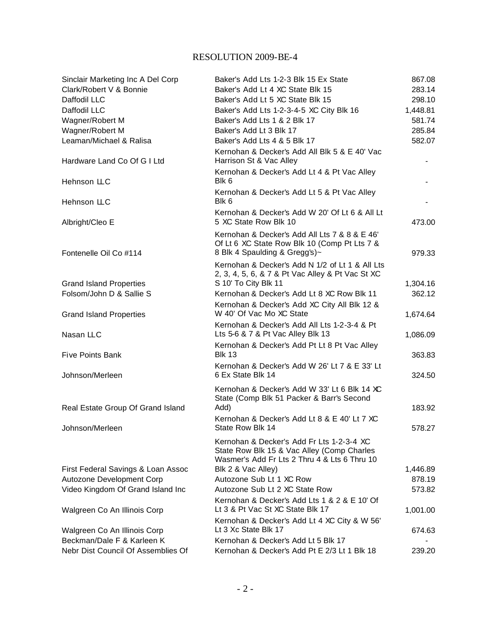#### RESOLUTION 2009-BE-4

| Sinclair Marketing Inc A Del Corp  | Baker's Add Lts 1-2-3 Blk 15 Ex State                                    | 867.08   |
|------------------------------------|--------------------------------------------------------------------------|----------|
| Clark/Robert V & Bonnie            | Baker's Add Lt 4 XC State Blk 15                                         | 283.14   |
| Daffodil LLC                       | Baker's Add Lt 5 XC State Blk 15                                         | 298.10   |
| Daffodil LLC                       | Baker's Add Lts 1-2-3-4-5 XC City Blk 16                                 | 1,448.81 |
| Wagner/Robert M                    | Baker's Add Lts 1 & 2 Blk 17                                             | 581.74   |
| Wagner/Robert M                    | Baker's Add Lt 3 Blk 17                                                  | 285.84   |
| Leaman/Michael & Ralisa            | Baker's Add Lts 4 & 5 Blk 17                                             | 582.07   |
| Hardware Land Co Of G I Ltd        | Kernohan & Decker's Add All Blk 5 & E 40' Vac<br>Harrison St & Vac Alley |          |
| Hehnson LLC                        | Kernohan & Decker's Add Lt 4 & Pt Vac Alley<br>Blk 6                     |          |
| Hehnson LLC                        | Kernohan & Decker's Add Lt 5 & Pt Vac Alley<br>Blk 6                     |          |
| Albright/Cleo E                    | Kernohan & Decker's Add W 20' Of Lt 6 & All Lt<br>5 XC State Row Blk 10  | 473.00   |
|                                    | Kernohan & Decker's Add All Lts 7 & 8 & E 46'                            |          |
|                                    | Of Lt 6 XC State Row Blk 10 (Comp Pt Lts 7 &                             |          |
| Fontenelle Oil Co #114             | 8 Blk 4 Spaulding & Gregg's)~                                            | 979.33   |
|                                    | Kernohan & Decker's Add N 1/2 of Lt 1 & All Lts                          |          |
|                                    | 2, 3, 4, 5, 6, & 7 & Pt Vac Alley & Pt Vac St XC                         |          |
| <b>Grand Island Properties</b>     | S 10' To City Blk 11                                                     | 1,304.16 |
| Folsom/John D & Sallie S           | Kernohan & Decker's Add Lt 8 XC Row Blk 11                               | 362.12   |
| <b>Grand Island Properties</b>     | Kernohan & Decker's Add XC City All Blk 12 &<br>W 40' Of Vac Mo XC State | 1,674.64 |
|                                    | Kernohan & Decker's Add All Lts 1-2-3-4 & Pt                             |          |
| Nasan LLC                          | Lts 5-6 & 7 & Pt Vac Alley Blk 13                                        | 1,086.09 |
|                                    | Kernohan & Decker's Add Pt Lt 8 Pt Vac Alley                             |          |
| <b>Five Points Bank</b>            | <b>Blk 13</b>                                                            | 363.83   |
|                                    | Kernohan & Decker's Add W 26' Lt 7 & E 33' Lt                            |          |
| Johnson/Merleen                    | 6 Ex State Blk 14                                                        | 324.50   |
|                                    | Kernohan & Decker's Add W 33' Lt 6 Blk 14 XC                             |          |
|                                    | State (Comp Blk 51 Packer & Barr's Second                                |          |
| Real Estate Group Of Grand Island  | Add)                                                                     | 183.92   |
|                                    | Kernohan & Decker's Add Lt 8 & E 40' Lt 7 XC                             |          |
| Johnson/Merleen                    | State Row Blk 14                                                         | 578.27   |
|                                    | Kernohan & Decker's Add Fr Lts 1-2-3-4 XC                                |          |
|                                    | State Row Blk 15 & Vac Alley (Comp Charles                               |          |
|                                    | Wasmer's Add Fr Lts 2 Thru 4 & Lts 6 Thru 10                             |          |
| First Federal Savings & Loan Assoc | Blk 2 & Vac Alley)                                                       | 1,446.89 |
| Autozone Development Corp          | Autozone Sub Lt 1 XC Row                                                 | 878.19   |
| Video Kingdom Of Grand Island Inc  | Autozone Sub Lt 2 XC State Row                                           | 573.82   |
|                                    | Kernohan & Decker's Add Lts 1 & 2 & E 10' Of                             |          |
| Walgreen Co An Illinois Corp       | Lt 3 & Pt Vac St XC State Blk 17                                         | 1,001.00 |
|                                    | Kernohan & Decker's Add Lt 4 XC City & W 56'                             |          |
| Walgreen Co An Illinois Corp       | Lt 3 Xc State Blk 17                                                     | 674.63   |
| Beckman/Dale F & Karleen K         | Kernohan & Decker's Add Lt 5 Blk 17                                      |          |
| Nebr Dist Council Of Assemblies Of | Kernohan & Decker's Add Pt E 2/3 Lt 1 Blk 18                             | 239.20   |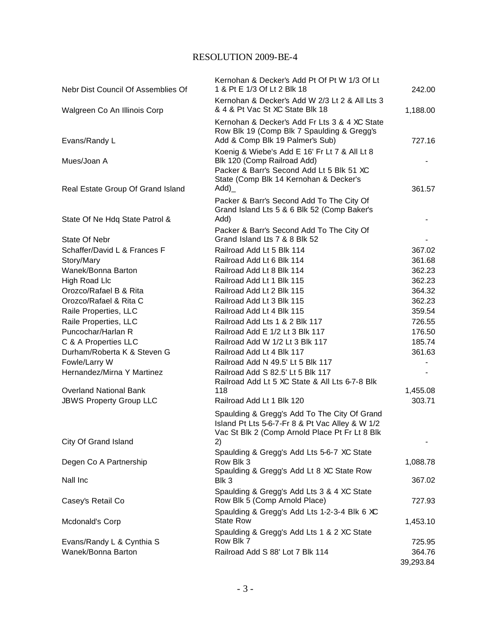#### RESOLUTION 2009-BE-4

| Nebr Dist Council Of Assemblies Of                  | Kernohan & Decker's Add Pt Of Pt W 1/3 Of Lt<br>1 & Pt E 1/3 Of Lt 2 Blk 18                                                                                         | 242.00              |
|-----------------------------------------------------|---------------------------------------------------------------------------------------------------------------------------------------------------------------------|---------------------|
| Walgreen Co An Illinois Corp                        | Kernohan & Decker's Add W 2/3 Lt 2 & All Lts 3<br>& 4 & Pt Vac St XC State Blk 18                                                                                   | 1,188.00            |
| Evans/Randy L                                       | Kernohan & Decker's Add Fr Lts 3 & 4 XC State<br>Row Blk 19 (Comp Blk 7 Spaulding & Gregg's<br>Add & Comp Blk 19 Palmer's Sub)                                      | 727.16              |
| Mues/Joan A                                         | Koenig & Wiebe's Add E 16' Fr Lt 7 & All Lt 8<br>Blk 120 (Comp Railroad Add)<br>Packer & Barr's Second Add Lt 5 Blk 51 XC<br>State (Comp Blk 14 Kernohan & Decker's |                     |
| Real Estate Group Of Grand Island                   | Add)<br>Packer & Barr's Second Add To The City Of                                                                                                                   | 361.57              |
| State Of Ne Hdq State Patrol &                      | Grand Island Lts 5 & 6 Blk 52 (Comp Baker's<br>Add)                                                                                                                 |                     |
| State Of Nebr                                       | Packer & Barr's Second Add To The City Of<br>Grand Island Lts 7 & 8 Blk 52                                                                                          |                     |
| Schaffer/David L & Frances F                        | Railroad Add Lt 5 Blk 114                                                                                                                                           | 367.02              |
| Story/Mary                                          | Railroad Add Lt 6 Blk 114                                                                                                                                           | 361.68              |
| Wanek/Bonna Barton                                  | Railroad Add Lt 8 Blk 114                                                                                                                                           | 362.23              |
| High Road Llc                                       | Railroad Add Lt 1 Blk 115                                                                                                                                           | 362.23              |
| Orozco/Rafael B & Rita                              | Railroad Add Lt 2 Blk 115                                                                                                                                           | 364.32              |
| Orozco/Rafael & Rita C                              | Railroad Add Lt 3 Blk 115                                                                                                                                           | 362.23              |
| Raile Properties, LLC                               | Railroad Add Lt 4 Blk 115                                                                                                                                           | 359.54              |
| Raile Properties, LLC<br>Puncochar/Harlan R         | Railroad Add Lts 1 & 2 Blk 117<br>Railroad Add E 1/2 Lt 3 Blk 117                                                                                                   | 726.55<br>176.50    |
|                                                     | Railroad Add W 1/2 Lt 3 Blk 117                                                                                                                                     | 185.74              |
| C & A Properties LLC<br>Durham/Roberta K & Steven G | Railroad Add Lt 4 Blk 117                                                                                                                                           | 361.63              |
| Fowle/Larry W                                       | Railroad Add N 49.5' Lt 5 Blk 117                                                                                                                                   |                     |
| Hernandez/Mirna Y Martinez                          | Railroad Add S 82.5' Lt 5 Blk 117                                                                                                                                   |                     |
|                                                     | Railroad Add Lt 5 XC State & All Lts 6-7-8 Blk                                                                                                                      |                     |
| <b>Overland National Bank</b>                       | 118                                                                                                                                                                 | 1,455.08            |
| <b>JBWS Property Group LLC</b>                      | Railroad Add Lt 1 Blk 120                                                                                                                                           | 303.71              |
|                                                     | Spaulding & Gregg's Add To The City Of Grand<br>Island Pt Lts 5-6-7-Fr 8 & Pt Vac Alley & W 1/2<br>Vac St Blk 2 (Comp Arnold Place Pt Fr Lt 8 Blk                   |                     |
| City Of Grand Island                                | 2)                                                                                                                                                                  |                     |
| Degen Co A Partnership                              | Spaulding & Gregg's Add Lts 5-6-7 XC State<br>Row Blk 3<br>Spaulding & Gregg's Add Lt 8 XC State Row                                                                | 1,088.78            |
| Nall Inc                                            | Blk 3                                                                                                                                                               | 367.02              |
| Casey's Retail Co                                   | Spaulding & Gregg's Add Lts 3 & 4 XC State<br>Row Blk 5 (Comp Arnold Place)                                                                                         | 727.93              |
| Mcdonald's Corp                                     | Spaulding & Gregg's Add Lts 1-2-3-4 Blk 6 XC<br><b>State Row</b>                                                                                                    | 1,453.10            |
|                                                     | Spaulding & Gregg's Add Lts 1 & 2 XC State<br>Row Blk 7                                                                                                             |                     |
| Evans/Randy L & Cynthia S                           |                                                                                                                                                                     | 725.95              |
| Wanek/Bonna Barton                                  | Railroad Add S 88' Lot 7 Blk 114                                                                                                                                    | 364.76<br>39,293.84 |